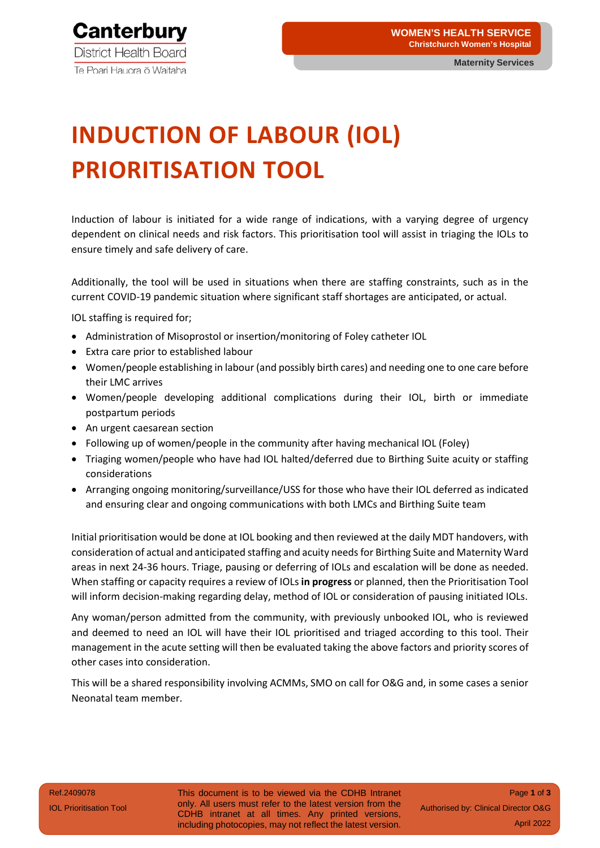

# **INDUCTION OF LABOUR (IOL) PRIORITISATION TOOL**

Induction of labour is initiated for a wide range of indications, with a varying degree of urgency dependent on clinical needs and risk factors. This prioritisation tool will assist in triaging the IOLs to ensure timely and safe delivery of care.

Additionally, the tool will be used in situations when there are staffing constraints, such as in the current COVID-19 pandemic situation where significant staff shortages are anticipated, or actual.

IOL staffing is required for;

- Administration of Misoprostol or insertion/monitoring of Foley catheter IOL
- Extra care prior to established labour
- Women/people establishing in labour (and possibly birth cares) and needing one to one care before their LMC arrives
- Women/people developing additional complications during their IOL, birth or immediate postpartum periods
- An urgent caesarean section
- Following up of women/people in the community after having mechanical IOL (Foley)
- Triaging women/people who have had IOL halted/deferred due to Birthing Suite acuity or staffing considerations
- Arranging ongoing monitoring/surveillance/USS for those who have their IOL deferred as indicated and ensuring clear and ongoing communications with both LMCs and Birthing Suite team

Initial prioritisation would be done at IOL booking and then reviewed at the daily MDT handovers, with consideration of actual and anticipated staffing and acuity needs for Birthing Suite and Maternity Ward areas in next 24-36 hours. Triage, pausing or deferring of IOLs and escalation will be done as needed. When staffing or capacity requires a review of IOLs **in progress** or planned, then the Prioritisation Tool will inform decision-making regarding delay, method of IOL or consideration of pausing initiated IOLs.

Any woman/person admitted from the community, with previously unbooked IOL, who is reviewed and deemed to need an IOL will have their IOL prioritised and triaged according to this tool. Their management in the acute setting will then be evaluated taking the above factors and priority scores of other cases into consideration.

This will be a shared responsibility involving ACMMs, SMO on call for O&G and, in some cases a senior Neonatal team member.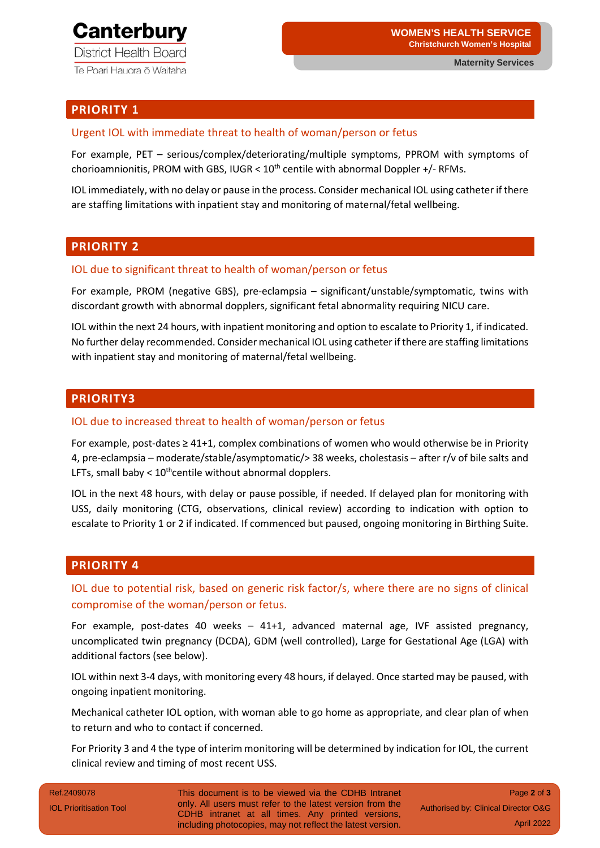**District Health Board** Te Poari Hauora ō Waitaha

**Maternity Services**

# **PRIORITY 1**

#### Urgent IOL with immediate threat to health of woman/person or fetus

For example, PET – serious/complex/deteriorating/multiple symptoms, PPROM with symptoms of chorioamnionitis, PROM with GBS, IUGR <  $10<sup>th</sup>$  centile with abnormal Doppler +/- RFMs.

IOL immediately, with no delay or pause in the process. Consider mechanical IOL using catheter if there are staffing limitations with inpatient stay and monitoring of maternal/fetal wellbeing.

## **PRIORITY 2**

#### IOL due to significant threat to health of woman/person or fetus

For example, PROM (negative GBS), pre-eclampsia – significant/unstable/symptomatic, twins with discordant growth with abnormal dopplers, significant fetal abnormality requiring NICU care.

IOL within the next 24 hours, with inpatient monitoring and option to escalate to Priority 1, if indicated. No further delay recommended. Consider mechanical IOL using catheter if there are staffing limitations with inpatient stay and monitoring of maternal/fetal wellbeing.

## **PRIORITY3**

#### IOL due to increased threat to health of woman/person or fetus

For example, post-dates ≥ 41+1, complex combinations of women who would otherwise be in Priority 4, pre-eclampsia – moderate/stable/asymptomatic/> 38 weeks, cholestasis – after r/v of bile salts and LFTs, small baby  $< 10$ <sup>th</sup>centile without abnormal dopplers.

IOL in the next 48 hours, with delay or pause possible, if needed. If delayed plan for monitoring with USS, daily monitoring (CTG, observations, clinical review) according to indication with option to escalate to Priority 1 or 2 if indicated. If commenced but paused, ongoing monitoring in Birthing Suite.

### **PRIORITY 4**

IOL due to potential risk, based on generic risk factor/s, where there are no signs of clinical compromise of the woman/person or fetus.

For example, post-dates 40 weeks – 41+1, advanced maternal age, IVF assisted pregnancy, uncomplicated twin pregnancy (DCDA), GDM (well controlled), Large for Gestational Age (LGA) with additional factors (see below).

IOL within next 3-4 days, with monitoring every 48 hours, if delayed. Once started may be paused, with ongoing inpatient monitoring.

Mechanical catheter IOL option, with woman able to go home as appropriate, and clear plan of when to return and who to contact if concerned.

For Priority 3 and 4 the type of interim monitoring will be determined by indication for IOL, the current clinical review and timing of most recent USS.

This document is to be viewed via the CDHB Intranet only. All users must refer to the latest version from the CDHB intranet at all times. Any printed versions, including photocopies, may not reflect the latest version.